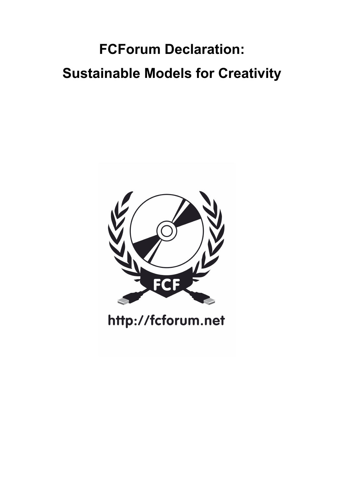# **FCForum Declaration: Sustainable Models for Creativity**



http://fcforum.net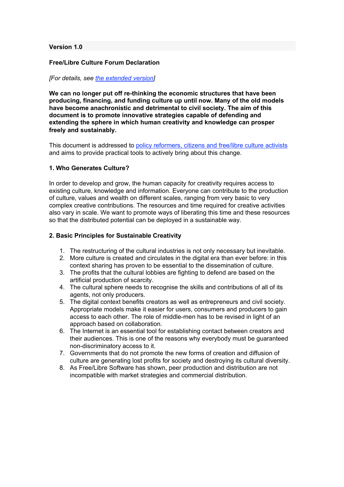#### **Version 1.0**

### **Free/Libre Culture Forum Declaration**

#### *[For details, see the extended version]*

**We can no longer put off re-thinking the economic structures that have been producing, financing, and funding culture up until now. Many of the old models have become anachronistic and detrimental to civil society. The aim of this document is to promote innovative strategies capable of defending and extending the sphere in which human creativity and knowledge can prosper freely and sustainably.**

This document is addressed to policy reformers, citizens and free/libre culture activists and aims to provide practical tools to actively bring about this change.

### **1. Who Generates Culture?**

In order to develop and grow, the human capacity for creativity requires access to existing culture, knowledge and information. Everyone can contribute to the production of culture, values and wealth on different scales, ranging from very basic to very complex creative contributions. The resources and time required for creative activities also vary in scale. We want to promote ways of liberating this time and these resources so that the distributed potential can be deployed in a sustainable way.

#### **2. Basic Principles for Sustainable Creativity**

- 1. The restructuring of the cultural industries is not only necessary but inevitable.
- 2. More culture is created and circulates in the digital era than ever before: in this context sharing has proven to be essential to the dissemination of culture.
- 3. The profits that the cultural lobbies are fighting to defend are based on the artificial production of scarcity.
- 4. The cultural sphere needs to recognise the skills and contributions of all of its agents, not only producers.
- 5. The digital context benefits creators as well as entrepreneurs and civil society. Appropriate models make it easier for users, consumers and producers to gain access to each other. The role of middle-men has to be revised in light of an approach based on collaboration.
- 6. The Internet is an essential tool for establishing contact between creators and their audiences. This is one of the reasons why everybody must be guaranteed non-discriminatory access to it.
- 7. Governments that do not promote the new forms of creation and diffusion of culture are generating lost profits for society and destroying its cultural diversity.
- 8. As Free/Libre Software has shown, peer production and distribution are not incompatible with market strategies and commercial distribution.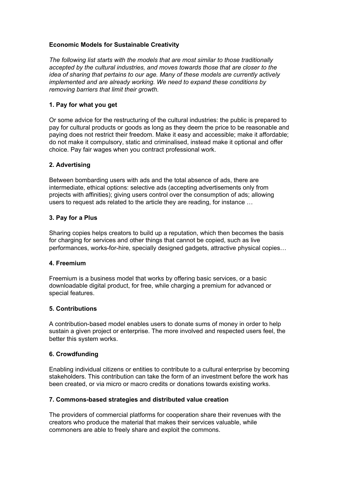# **Economic Models for Sustainable Creativity**

*The following list starts with the models that are most similar to those traditionally accepted by the cultural industries, and moves towards those that are closer to the idea of sharing that pertains to our age. Many of these models are currently actively implemented and are already working. We need to expand these conditions by removing barriers that limit their growth.*

#### **1. Pay for what you get**

Or some advice for the restructuring of the cultural industries: the public is prepared to pay for cultural products or goods as long as they deem the price to be reasonable and paying does not restrict their freedom. Make it easy and accessible; make it affordable; do not make it compulsory, static and criminalised, instead make it optional and offer choice. Pay fair wages when you contract professional work.

#### **2. Advertising**

Between bombarding users with ads and the total absence of ads, there are intermediate, ethical options: selective ads (accepting advertisements only from projects with affinities); giving users control over the consumption of ads; allowing users to request ads related to the article they are reading, for instance …

#### **3. Pay for a Plus**

Sharing copies helps creators to build up a reputation, which then becomes the basis for charging for services and other things that cannot be copied, such as live performances, works-for-hire, specially designed gadgets, attractive physical copies…

#### **4. Freemium**

Freemium is a business model that works by offering basic services, or a basic downloadable digital product, for free, while charging a premium for advanced or special features.

#### **5. Contributions**

A contribution-based model enables users to donate sums of money in order to help sustain a given project or enterprise. The more involved and respected users feel, the better this system works.

#### **6. Crowdfunding**

Enabling individual citizens or entities to contribute to a cultural enterprise by becoming stakeholders. This contribution can take the form of an investment before the work has been created, or via micro or macro credits or donations towards existing works.

#### **7. Commons-based strategies and distributed value creation**

The providers of commercial platforms for cooperation share their revenues with the creators who produce the material that makes their services valuable, while commoners are able to freely share and exploit the commons.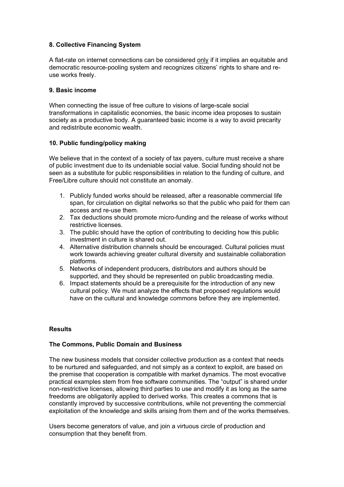# **8. Collective Financing System**

A flat-rate on internet connections can be considered only if it implies an equitable and democratic resource-pooling system and recognizes citizens' rights to share and reuse works freely.

# **9. Basic income**

When connecting the issue of free culture to visions of large-scale social transformations in capitalistic economies, the basic income idea proposes to sustain society as a productive body. A guaranteed basic income is a way to avoid precarity and redistribute economic wealth.

# **10. Public funding/policy making**

We believe that in the context of a society of tax payers, culture must receive a share of public investment due to its undeniable social value. Social funding should not be seen as a substitute for public responsibilities in relation to the funding of culture, and Free/Libre culture should not constitute an anomaly.

- 1. Publicly funded works should be released, after a reasonable commercial life span, for circulation on digital networks so that the public who paid for them can access and re-use them.
- 2. Tax deductions should promote micro-funding and the release of works without restrictive licenses.
- 3. The public should have the option of contributing to deciding how this public investment in culture is shared out.
- 4. Alternative distribution channels should be encouraged. Cultural policies must work towards achieving greater cultural diversity and sustainable collaboration platforms.
- 5. Networks of independent producers, distributors and authors should be supported, and they should be represented on public broadcasting media.
- 6. Impact statements should be a prerequisite for the introduction of any new cultural policy. We must analyze the effects that proposed regulations would have on the cultural and knowledge commons before they are implemented.

# **Results**

#### **The Commons, Public Domain and Business**

The new business models that consider collective production as a context that needs to be nurtured and safeguarded, and not simply as a context to exploit, are based on the premise that cooperation is compatible with market dynamics. The most evocative practical examples stem from free software communities. The "output" is shared under non-restrictive licenses, allowing third parties to use and modify it as long as the same freedoms are obligatorily applied to derived works. This creates a commons that is constantly improved by successive contributions, while not preventing the commercial exploitation of the knowledge and skills arising from them and of the works themselves.

Users become generators of value, and join a virtuous circle of production and consumption that they benefit from.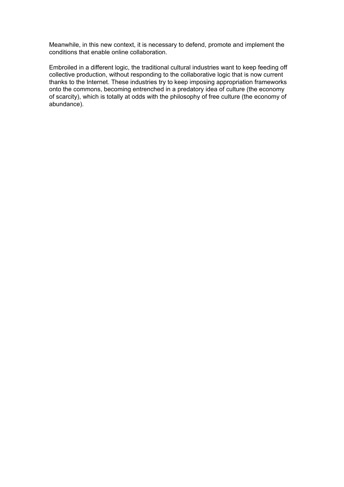Meanwhile, in this new context, it is necessary to defend, promote and implement the conditions that enable online collaboration.

Embroiled in a different logic, the traditional cultural industries want to keep feeding off collective production, without responding to the collaborative logic that is now current thanks to the Internet. These industries try to keep imposing appropriation frameworks onto the commons, becoming entrenched in a predatory idea of culture (the economy of scarcity), which is totally at odds with the philosophy of free culture (the economy of abundance).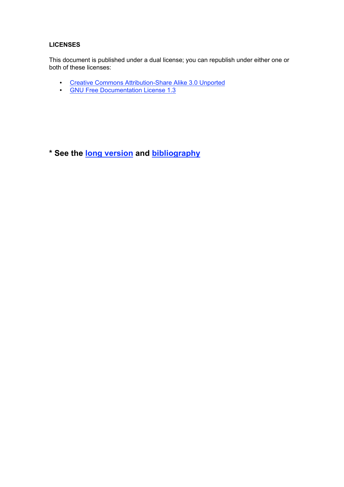# **LICENSES**

This document is published under a dual license; you can republish under either one or both of these licenses:

- Creative Commons Attribution-Share Alike 3.0 Unported
- GNU Free Documentation License 1.3

**\* See the long version and bibliography**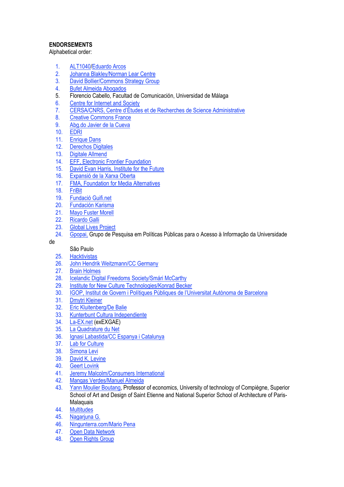# **ENDORSEMENTS**

Alphabetical order:

- 1. ALT1040/Eduardo Arcos
- 2. Johanna Blakley/Norman Lear Centre<br>3. David Bollier/Commons Strategy Grou
- David Bollier/Commons Strategy Group
- 4. Bufet Almeida Abogados
- 5. Florencio Cabello, Facultad de Comunicación, Universidad de Málaga
- 6. Centre for Internet and Society
- 7. CERSA/CNRS, Centre d'Études et de Recherches de Science Administrative
- 8. Creative Commons France
- 9. Abg.do Javier de la Cueva
- 10. EDRI
- 11. Enrique Dans
- 12. Derechos Digitales
- 13. Digitale Allmend
- 14. EFF, Electronic Frontier Foundation
- 15. David Evan Harris, Institute for the Future
- 16. Expansió de la Xarxa Oberta
- 17. FMA, Foundation for Media Alternatives
- 18. FriBit
- 19. Fundació Guifi.net
- 20. Fundación Karisma
- 21. Mayo Fuster Morell
- 22. Ricardo Galli
- 23. Global Lives Project
- 24. Gpopai, Grupo de Pesquisa em Políticas Públicas para o Acesso à Informação da Universidade

# São Paulo

de

- 25. Hacktivistas
- 26. John Hendrik Weitzmann/CC Germany
- 27. Brain Holmes
- 28. Icelandic Digital Freedoms Society/Smári McCarthy
- 29. Institute for New Culture Technologies/Konrad Becker
- 30. IGOP, Institut de Govern i Polítiques Públiques de l'Universitat Autònoma de Barcelona
- 31. Dmytri Kleiner
- 32. Eric Kluitenberg/De Balie
- 33. Kunterbunt Cultura Independiente
- 34. La-EX.net (exEXGAE)
- 35. La Quadrature du Net
- 36. Ignasi Labastida/CC Espanya i Catalunya
- 37. Lab for Culture
- 38. Simona Levi
- 39. David K. Levine
- 40. Geert Lovink
- 41. Jeremy Malcolm/Consumers International
- 42. Mangas Verdes/Manuel Almeida
- 43. Yann Moulier Boutang, Professor of economics, University of technology of Compiègne, Superior School of Art and Design of Saint Etienne and National Superior School of Architecture of Paris-**Malaquais**
- 44. Multitudes
- 45. Nagarjuna G.
- 46. Ningunterra.com/Mario Pena
- 47. Open Data Network
- 48. Open Rights Group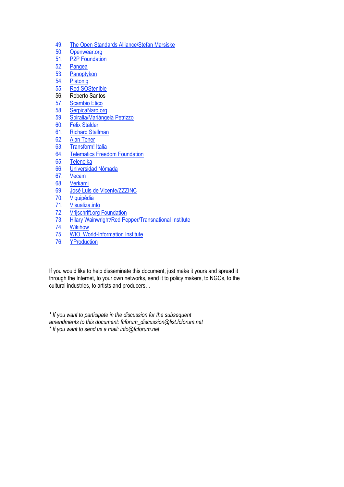- 49. The Open Standards Alliance/Stefan Marsiske
- 50. Openwear.org
- 51. P2P Foundation
- 52. Pangea
- 53. Panoptykon
- 54. Platoniq
- 55. Red SOStenible
- 56. Roberto Santos
- 57. Scambio Etico
- 58. SerpicaNaro.org
- 59. Spiralia/Mariángela Petrizzo
- 60. Felix Stalder
- 61. Richard Stallman
- 62. Alan Toner
- 63. Transform! Italia
- 64. Telematics Freedom Foundation
- 65. Telenoika
- 66. Universidad Nómada
- 67. Vecam
- 68. Verkami
- 69. José Luis de Vicente/ZZZINC
- 70. Viquipèdia
- 71. Visualiza.info
- 72. Vrijschrift.org Foundation
- 73. Hilary Wainwright/Red Pepper/Transnational Institute
- 74. Wikihow
- 75. WIO, World-Information Institute
- 76. YProduction

If you would like to help disseminate this document, just make it yours and spread it through the Internet, to your own networks, send it to policy makers, to NGOs, to the cultural industries, to artists and producers…

*\* If you want to participate in the discussion for the subsequent amendments to this document: fcforum\_discussion@list.fcforum.net \* If you want to send us a mail: info@fcforum.net*